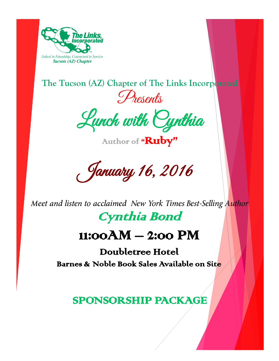

**The Tucson (AZ) Chapter of The Links Incorporated**  Presents

Lunch with Cynthia

Author of "Ruby"

January 16, 2016

*Meet and listen to acclaimed New York Times Best-Selling Author* Cynthia Bond

# 11:00AM – 2:00 PM

Doubletree Hotel Barnes & Noble Book Sales Available on Site

SPONSORSHIP PACKAGE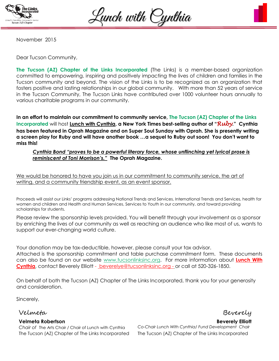

Lunch with Cynthia



November 2015

Dear Tucson Community,

**The Tucson (AZ) Chapter of the Links Incorporated** (The Links) is a member-based organization committed to empowering, inspiring and positively impacting the lives of children and families in the Tucson community and beyond. The vision of the Links is to be recognized as an organization that fosters positive and lasting relationships in our global community. With more than 52 years of service in the Tucson Community, The Tucson Links have contributed over 1000 volunteer hours annually to various charitable programs in our community.

**In an effort to maintain our commitment to community service, The Tucson (AZ) Chapter of the Links Incorporated** will host **Lunch with Cynthia, a New York Times best-selling author of "***Ruby***." Cynthia has been featured in Oprah Magazine and on Super Soul Sunday with Oprah. She is presently writing a screen play for Ruby and will have another book …a sequel to Ruby out soon! You don't want to miss this!**

#### *Cynthia Bond "proves to be a powerful literary force, whose unflinching yet lyrical prose is reminiscent of Toni Morrison's."* **The Oprah Magazine.**

We would be honored to have you join us in our commitment to community service, the art of writing, and a community friendship event, as an event sponsor.

Proceeds will assist our Links' programs addressing National Trends and Services, International Trends and Services, health for women and children and Health and Human Services, Services to Youth in our community, and toward providing scholarships for students.

Please review the sponsorship levels provided. You will benefit through your involvement as a sponsor by enriching the lives of our community as well as reaching an audience who like most of us, wants to support our ever-changing world culture.

Your donation may be tax-deductible, however, please consult your tax advisor. Attached is the sponsorship commitment and table purchase commitment form. These documents can also be found on our website [www.tucsonlinksinc.org.](http://www.tucsonlinksinc.org/) For more information about **Lunch With Cynthia,** contact Beverely Elliott - [beverelye@tucsonlinksinc.org](mailto:%20beverelye@tucsonlinksinc.org) - or call at 520-326-1850.

On behalf of both the Tucson (AZ) Chapter of The Links Incorporated, thank you for your generosity and consideration.

Sincerely,

#### Velmeta Beverely Velmeta

**Velmeta Robertson Beverely Elliott Velmeta Robertson** *Chair of* The Arts Chair / Chair of Lunch with Cynthia *Co-Chair Lunch With Cynthia/ Fund Development Chair Co-Chair &* The Arts Chair The Tucson (AZ) Chapter of The Links Incorporated The Tucson (AZ) Chapter of The Links Incorporated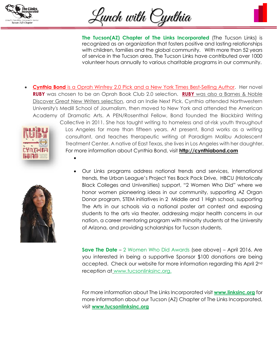

Lunch with Cynthia

**The Tucson(AZ) Chapter of The Links Incorporated** (The Tucson Links) is recognized as an organization that fosters positive and lasting relationships with children, families and the global community. With more than 52 years of service in the Tucson area, The Tucson Links have contributed over 1000 volunteer hours annually to various charitable programs in our community.

**Cynthia Bond** is a Oprah Winfrey 2.0 Pick and a New York Times Best-Selling Author. Her novel **RUBY** was chosen to be an Oprah Book Club 2.0 selection. **RUBY** was also a Barnes & Noble Discover Great New Writers selection, and an Indie Next Pick. Cynthia attended Northwestern University's Medill School of Journalism, then moved to New York and attended the American Academy of Dramatic Arts. A PEN/Rosenthal Fellow, Bond founded the Blackbird Writing



 $\bullet$ 



[C](https://www.google.com/url?sa=i&rct=j&q=&esrc=s&source=images&cd=&cad=rja&uact=8&ved=0CAcQjRw&url=http://www.goodreads.com/book/show/24902492-ruby&ei=UpGaVa--EMHAsAWNgbGYBA&bvm=bv.96952980,d.b2w&psig=AFQjCNEwYcb9rHwXpTPCfqsY5HMCR1JwFA&ust=1436279498244442)ollective in 2011. She has taught writing to homeless and at-risk youth throughout Los Angeles for more than fifteen years. At present, Bond works as a writing consultant, and teaches therapeutic writing at Paradigm Malibu Adolescent Treatment Center. A native of East Texas, she lives in Los Angeles with her daughter. For more information about Cynthia Bond, visit **[http://cynthiabond.com](http://cynthiabond.com/)**

 Our Links programs address national trends and services, international trends, the Urban League's Project Yes Back Pack Drive, HBCU (Historically Black Colleges and Universities) support, "2 Women Who Did" where we honor women pioneering ideas in our community, supporting AZ Organ Donor program, STEM initiatives in 2 Middle and 1 High school, supporting The Arts in our schools via a national poster art contest and exposing students to the arts via theater, addressing major health concerns in our nation, a career mentoring program with minority students at the University of Arizona, and providing scholarships for Tucson students.

**Save The Date** – 2 Women Who Did Awards (see above) – April 2016. Are you interested in being a supportive Sponsor \$100 donations are being accepted. Check our website for more information regarding this April 2nd reception at [www.tucsonlinksinc.org.](http://www.tucsonlinksinc.org/)

For more information about The Links Incorporated visit **[www.linksinc.org](http://www.linksinc.org/)** for more information about our Tucson (AZ) Chapter of The Links Incorporated, visit **[www.tucsonlinksinc.org](http://www.tucsonlinksinc.org/)**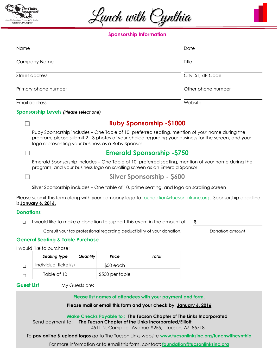

Lunch with Cynthia



| Name                 | Date               |
|----------------------|--------------------|
| Company Name         | Title              |
| Street address       | City, ST, ZIP Code |
| Primary phone number | Other phone number |
| Email address        | Website            |

#### **Sponsorship Levels** *(Please select one)*



#### ☐ **Ruby Sponsorship -\$1000**

Ruby Sponsorship includes – One Table of 10, preferred seating, mention of your name during the program, please submit 2 - 3 photos of your choice regarding your business for the screen, and your logo representing your business as a Ruby Sponsor

### ☐ **Emerald Sponsorship -\$750**

Emerald Sponsorship includes – One Table of 10, preferred seating, mention of your name during the program, and your business logo on scrolling screen as an Emerald Sponsor

☐ **Silver Sponsorship - \$600**

Silver Sponsorship includes – One table of 10, prime seating, and logo on scrolling screen

Please submit this form along with your company logo to [foundation@tucsonlinksinc.org.](mailto:foundation@tucsonlinksinc.org) Sponsorship deadline is **January 6, 2016**.

#### **Donations**

☐ I would like to make a donation to support this event in the amount of **\$**

Consult your tax professional regarding deductibility of your donation. *Donation amount*

#### **General Seating & Table Purchase**

I would like to purchase:

| Seating type         | Quantity | Price           | Total |
|----------------------|----------|-----------------|-------|
| Individual ticket(s) |          | $$50$ each      |       |
| Table of 10          |          | \$500 per table |       |

**Guest List** My Guests are:

**Please list names of attendees with your payment and form.**

**Please mail or email this form and your check by January 6, 2016**

**Make Checks Payable to : The Tucson Chapter of The Links Incorporated** Send payment to: **The Tucson Chapter of the Links Incorporated/Elliott**

4511 N. Campbell Avenue #255, Tucson, AZ 85718

To **pay online & upload logos** go to The Tucson Links website **[www.tucsonlinksinc.org/lunchwithcynthia](http://www.tucsonlinksinc.org/lunchwithcynthia)**

For more information or to email this form, contact: **[foundation@tucsonlinksinc.org](mailto:foundation@tucsonlinksinc.org)**